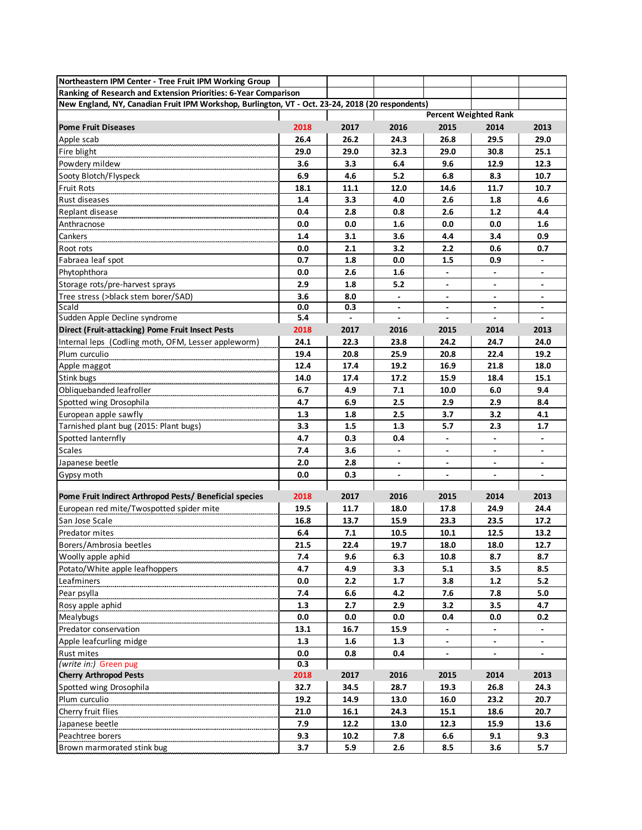| Northeastern IPM Center - Tree Fruit IPM Working Group                                           |      |      |                          |                              |                          |                          |
|--------------------------------------------------------------------------------------------------|------|------|--------------------------|------------------------------|--------------------------|--------------------------|
| Ranking of Research and Extension Priorities: 6-Year Comparison                                  |      |      |                          |                              |                          |                          |
| New England, NY, Canadian Fruit IPM Workshop, Burlington, VT - Oct. 23-24, 2018 (20 respondents) |      |      |                          |                              |                          |                          |
|                                                                                                  |      |      |                          | <b>Percent Weighted Rank</b> |                          |                          |
| <b>Pome Fruit Diseases</b>                                                                       | 2018 | 2017 | 2016                     | 2015                         | 2014                     | 2013                     |
| Apple scab                                                                                       | 26.4 | 26.2 | 24.3                     | 26.8                         | 29.5                     | 29.0                     |
| Fire blight                                                                                      | 29.0 | 29.0 | 32.3                     | 29.0                         | 30.8                     | 25.1                     |
| Powdery mildew                                                                                   | 3.6  | 3.3  | 6.4                      | 9.6                          | 12.9                     | 12.3                     |
| Sooty Blotch/Flyspeck                                                                            | 6.9  | 4.6  | 5.2                      | 6.8                          | 8.3                      | 10.7                     |
| <b>Fruit Rots</b>                                                                                | 18.1 | 11.1 | 12.0                     | 14.6                         | 11.7                     | 10.7                     |
| Rust diseases                                                                                    | 1.4  | 3.3  | 4.0                      | 2.6                          | 1.8                      | 4.6                      |
| Replant disease                                                                                  | 0.4  | 2.8  | 0.8                      | 2.6                          | 1.2                      | 4.4                      |
| Anthracnose                                                                                      | 0.0  | 0.0  | 1.6                      | 0.0                          | 0.0                      | 1.6                      |
| Cankers                                                                                          | 1.4  | 3.1  | 3.6                      | 4.4                          | 3.4                      | 0.9                      |
| Root rots                                                                                        | 0.0  | 2.1  | 3.2                      | 2.2                          | 0.6                      | 0.7                      |
| Fabraea leaf spot                                                                                | 0.7  | 1.8  | 0.0                      | 1.5                          | 0.9                      | $\overline{\phantom{a}}$ |
| Phytophthora                                                                                     | 0.0  | 2.6  | 1.6                      | $\overline{\phantom{a}}$     | $\overline{\phantom{a}}$ | $\overline{\phantom{a}}$ |
| Storage rots/pre-harvest sprays                                                                  | 2.9  | 1.8  | 5.2                      | $\overline{\phantom{a}}$     | $\overline{\phantom{a}}$ | $\overline{\phantom{a}}$ |
| Tree stress (>black stem borer/SAD)                                                              | 3.6  | 8.0  |                          |                              |                          |                          |
| Scald                                                                                            | 0.0  | 0.3  |                          | $\blacksquare$               | $\blacksquare$           | $\blacksquare$           |
| Sudden Apple Decline syndrome                                                                    | 5.4  |      | $\blacksquare$           | $\overline{\phantom{a}}$     | $\blacksquare$           | $\blacksquare$           |
| Direct (Fruit-attacking) Pome Fruit Insect Pests                                                 | 2018 | 2017 | 2016                     | 2015                         | 2014                     | 2013                     |
| Internal leps (Codling moth, OFM, Lesser appleworm)                                              | 24.1 | 22.3 | 23.8                     | 24.2                         | 24.7                     | 24.0                     |
| Plum curculio                                                                                    | 19.4 | 20.8 | 25.9                     | 20.8                         | 22.4                     | 19.2                     |
| Apple maggot                                                                                     | 12.4 | 17.4 | 19.2                     | 16.9                         | 21.8                     | 18.0                     |
| Stink bugs                                                                                       | 14.0 | 17.4 | 17.2                     | 15.9                         | 18.4                     | 15.1                     |
| Obliquebanded leafroller                                                                         | 6.7  | 4.9  | 7.1                      | 10.0                         | 6.0                      | 9.4                      |
| Spotted wing Drosophila                                                                          | 4.7  | 6.9  | 2.5                      | 2.9                          | 2.9                      | 8.4                      |
| European apple sawfly                                                                            | 1.3  | 1.8  | 2.5                      | 3.7                          | 3.2                      | 4.1                      |
| Tarnished plant bug (2015: Plant bugs)                                                           | 3.3  | 1.5  | 1.3                      | 5.7                          | 2.3                      | 1.7                      |
| Spotted lanternfly                                                                               | 4.7  | 0.3  | 0.4                      |                              |                          |                          |
| Scales                                                                                           | 7.4  | 3.6  |                          |                              |                          |                          |
| Japanese beetle                                                                                  | 2.0  | 2.8  |                          | $\blacksquare$               |                          | $\overline{\phantom{a}}$ |
| Gypsy moth                                                                                       | 0.0  | 0.3  | $\overline{\phantom{a}}$ | $\overline{\phantom{a}}$     | $\overline{\phantom{a}}$ | $\blacksquare$           |
|                                                                                                  |      |      |                          |                              |                          |                          |
| Pome Fruit Indirect Arthropod Pests/ Beneficial species                                          | 2018 | 2017 | 2016                     | 2015                         | 2014                     | 2013                     |
| European red mite/Twospotted spider mite                                                         | 19.5 | 11.7 | 18.0                     | 17.8                         | 24.9                     | 24.4                     |
| San Jose Scale                                                                                   | 16.8 | 13.7 | 15.9                     | 23.3                         | 23.5                     | 17.2                     |
| Predator mites                                                                                   | 6.4  | 7.1  | 10.5                     | 10.1                         | 12.5                     | 13.2                     |
| Borers/Ambrosia beetles                                                                          | 21.5 | 22.4 | 19.7                     | 18.0                         | 18.0                     | 12.7                     |
| Woolly apple aphid                                                                               | 7.4  | 9.6  | 6.3                      | 10.8                         | 8.7                      | 8.7                      |
| Potato/White apple leafhoppers                                                                   | 4.7  | 4.9  | 3.3                      | 5.1                          | 3.5                      | 8.5                      |
| Leafminers                                                                                       | 0.0  | 2.2  | 1.7                      | 3.8                          | 1.2                      | 5.2                      |
| Pear psylla                                                                                      | 7.4  | 6.6  | 4.2                      | 7.6                          | 7.8                      | 5.0                      |
| Rosy apple aphid                                                                                 | 1.3  | 2.7  | 2.9                      | 3.2                          | 3.5                      | 4.7                      |
| Mealybugs                                                                                        | 0.0  | 0.0  | 0.0                      | 0.4                          | 0.0                      | 0.2                      |
| Predator conservation                                                                            | 13.1 | 16.7 | 15.9                     |                              |                          |                          |
| Apple leafcurling midge                                                                          | 1.3  | 1.6  | 1.3                      |                              |                          |                          |
| Rust mites                                                                                       | 0.0  | 0.8  | 0.4                      |                              |                          |                          |
| (write in:) Green pug                                                                            | 0.3  |      |                          |                              |                          |                          |
| <b>Cherry Arthropod Pests</b>                                                                    | 2018 | 2017 | 2016                     | 2015                         | 2014                     | 2013                     |
| Spotted wing Drosophila                                                                          | 32.7 | 34.5 | 28.7                     | 19.3                         | 26.8                     | 24.3                     |
| Plum curculio                                                                                    | 19.2 | 14.9 | 13.0                     | 16.0                         | 23.2                     | 20.7                     |
| Cherry fruit flies                                                                               | 21.0 | 16.1 | 24.3                     | 15.1                         | 18.6                     | 20.7                     |
| Japanese beetle                                                                                  | 7.9  | 12.2 | 13.0                     | 12.3                         | 15.9                     | 13.6                     |
| Peachtree borers                                                                                 | 9.3  | 10.2 | 7.8                      | 6.6                          | 9.1                      | 9.3                      |
| Brown marmorated stink bug                                                                       | 3.7  | 5.9  | 2.6                      | 8.5                          | 3.6                      | 5.7                      |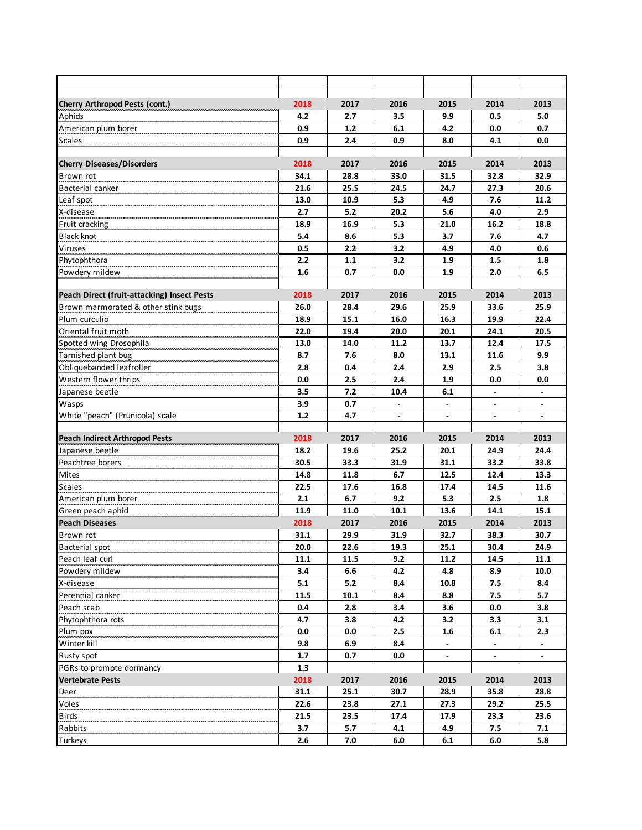| Cherry Arthropod Pests (cont.)                                                     | 2018 | 2017 | 2016                     | 2015                     | 2014                     | 2013                     |
|------------------------------------------------------------------------------------|------|------|--------------------------|--------------------------|--------------------------|--------------------------|
| Aphids                                                                             | 4.2  | 2.7  | 3.5                      | 9.9                      | 0.5                      | 5.0                      |
| American plum borer                                                                | 0.9  | 1.2  | 6.1                      | 4.2                      | 0.0                      | 0.7                      |
| <b>Scales</b>                                                                      | 0.9  | 2.4  | 0.9                      | 8.0                      | 4.1                      | 0.0                      |
|                                                                                    |      |      |                          |                          |                          |                          |
| <b>Cherry Diseases/Disorders</b>                                                   | 2018 | 2017 | 2016                     | 2015                     | 2014                     | 2013                     |
| Brown rot                                                                          | 34.1 | 28.8 | 33.0                     | 31.5                     | 32.8                     | 32.9                     |
| Bacterial canker                                                                   | 21.6 | 25.5 | 24.5                     | 24.7                     | 27.3                     | 20.6                     |
| Leaf spot                                                                          | 13.0 | 10.9 | 5.3                      | 4.9                      | 7.6                      | 11.2                     |
| X-disease                                                                          | 2.7  | 5.2  | 20.2                     | 5.6                      | 4.0                      | 2.9                      |
| Fruit cracking                                                                     | 18.9 | 16.9 | 5.3                      | 21.0                     | 16.2                     | 18.8                     |
| <b>Black knot</b>                                                                  | 5.4  | 8.6  | 5.3                      | 3.7                      | 7.6                      | 4.7                      |
| <b>Viruses</b>                                                                     | 0.5  | 2.2  | 3.2                      | 4.9                      | 4.0                      | 0.6                      |
| Phytophthora                                                                       | 2.2  | 1.1  | 3.2                      | 1.9                      | 1.5                      | 1.8                      |
| Powdery mildew                                                                     | 1.6  | 0.7  | 0.0                      | 1.9                      | 2.0                      | 6.5                      |
|                                                                                    | 2018 | 2017 | 2016                     | 2015                     | 2014                     | 2013                     |
| Peach Direct (fruit-attacking) Insect Pests<br>Brown marmorated & other stink bugs | 26.0 | 28.4 | 29.6                     | 25.9                     | 33.6                     | 25.9                     |
|                                                                                    | 18.9 | 15.1 | 16.0                     | 16.3                     | 19.9                     | 22.4                     |
| Plum curculio<br>Oriental fruit moth                                               | 22.0 | 19.4 | 20.0                     | 20.1                     | 24.1                     | 20.5                     |
| Spotted wing Drosophila                                                            | 13.0 | 14.0 | 11.2                     | 13.7                     | 12.4                     | 17.5                     |
| Tarnished plant bug                                                                | 8.7  | 7.6  | 8.0                      | 13.1                     | 11.6                     | 9.9                      |
| Obliquebanded leafroller                                                           | 2.8  | 0.4  | 2.4                      | 2.9                      | 2.5                      | 3.8                      |
| Western flower thrips                                                              | 0.0  | 2.5  | 2.4                      | 1.9                      | 0.0                      | 0.0                      |
| Japanese beetle                                                                    | 3.5  | 7.2  | 10.4                     | 6.1                      | $\overline{\phantom{a}}$ | $\overline{\phantom{a}}$ |
| Wasps                                                                              | 3.9  | 0.7  | $\overline{\phantom{a}}$ | $\overline{\phantom{a}}$ | $\overline{\phantom{a}}$ | $\overline{\phantom{a}}$ |
| White "peach" (Prunicola) scale                                                    | 1.2  | 4.7  | $\overline{\phantom{a}}$ | $\overline{\phantom{a}}$ | $\overline{\phantom{a}}$ | $\overline{\phantom{a}}$ |
|                                                                                    |      |      |                          |                          |                          |                          |
| <b>Peach Indirect Arthropod Pests</b>                                              | 2018 | 2017 | 2016                     | 2015                     | 2014                     | 2013                     |
| Japanese beetle                                                                    | 18.2 | 19.6 | 25.2                     | 20.1                     | 24.9                     | 24.4                     |
| Peachtree borers                                                                   | 30.5 | 33.3 | 31.9                     | 31.1                     | 33.2                     | 33.8                     |
| Mites                                                                              | 14.8 | 11.8 | 6.7                      | 12.5                     | 12.4                     | 13.3                     |
| <b>Scales</b>                                                                      | 22.5 | 17.6 | 16.8                     | 17.4                     | 14.5                     | 11.6                     |
| American plum borer                                                                | 2.1  | 6.7  | 9.2                      | 5.3                      | 2.5                      | 1.8                      |
| Green peach aphid                                                                  | 11.9 | 11.0 | 10.1                     | 13.6                     | 14.1                     | 15.1                     |
| <b>Peach Diseases</b>                                                              | 2018 | 2017 | 2016                     | 2015                     | 2014                     | 2013                     |
| Brown rot                                                                          | 31.1 | 29.9 | 31.9                     | 32.7                     | 38.3                     | 30.7                     |
| Bacterial spot                                                                     | 20.0 | 22.6 | 19.3                     | 25.1                     | 30.4                     | 24.9                     |
| Peach leaf curl                                                                    | 11.1 | 11.5 | 9.2                      | 11.2                     | 14.5                     | 11.1                     |
| Powdery mildew                                                                     | 3.4  | 6.6  | 4.2                      | 4.8                      | 8.9                      | 10.0                     |
| X-disease                                                                          | 5.1  | 5.2  | 8.4                      | 10.8                     | 7.5                      | 8.4                      |
| Perennial canker                                                                   | 11.5 | 10.1 | 8.4                      | 8.8                      | 7.5                      | 5.7                      |
| Peach scab                                                                         | 0.4  | 2.8  | 3.4                      | 3.6                      | 0.0                      | 3.8                      |
| Phytophthora rots                                                                  | 4.7  | 3.8  | 4.2                      | 3.2                      | 3.3                      | 3.1                      |
| Plum pox                                                                           | 0.0  | 0.0  | 2.5                      | 1.6                      | 6.1                      | 2.3                      |
| Winter kill                                                                        | 9.8  | 6.9  | 8.4                      | $\blacksquare$           | $\blacksquare$           | $\blacksquare$           |
| Rusty spot                                                                         | 1.7  | 0.7  | 0.0                      | $\overline{\phantom{a}}$ | $\overline{\phantom{a}}$ | $\blacksquare$           |
| PGRs to promote dormancy                                                           | 1.3  |      |                          |                          |                          |                          |
| <b>Vertebrate Pests</b>                                                            | 2018 | 2017 | 2016                     | 2015                     | 2014                     | 2013                     |
| Deer                                                                               | 31.1 | 25.1 | 30.7                     | 28.9                     | 35.8                     | 28.8                     |
| Voles                                                                              | 22.6 | 23.8 | 27.1                     | 27.3                     | 29.2                     | 25.5                     |
| <b>Birds</b>                                                                       | 21.5 | 23.5 | 17.4                     | 17.9                     | 23.3                     | 23.6                     |
| Rabbits                                                                            | 3.7  | 5.7  | 4.1                      | 4.9                      | 7.5                      | 7.1                      |
| Turkeys                                                                            | 2.6  | 7.0  | 6.0                      | 6.1                      | 6.0                      | 5.8                      |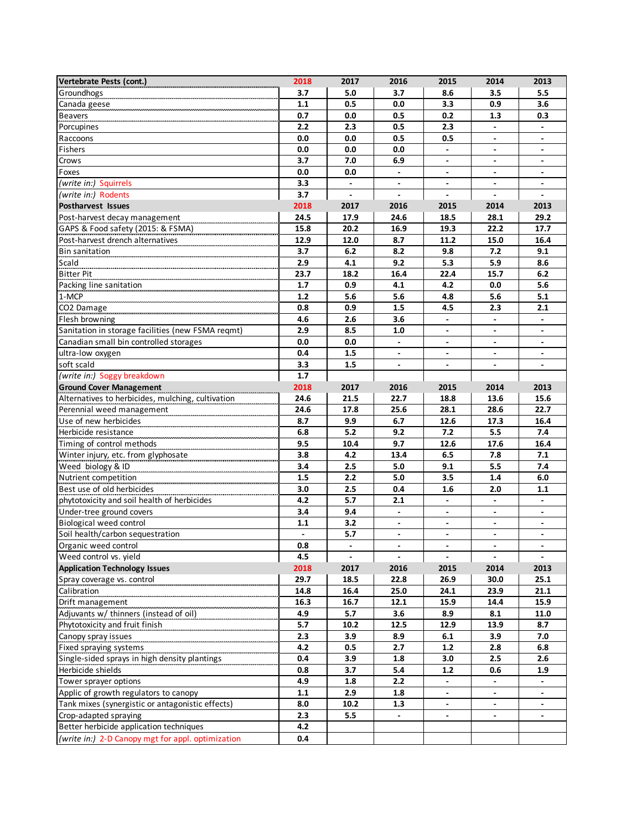| Vertebrate Pests (cont.)                          | 2018           | 2017                     | 2016                     | 2015                     | 2014                     | 2013                     |
|---------------------------------------------------|----------------|--------------------------|--------------------------|--------------------------|--------------------------|--------------------------|
| Groundhogs                                        | 3.7            | 5.0                      | 3.7                      | 8.6                      | 3.5                      | 5.5                      |
| Canada geese                                      | 1.1            | 0.5                      | 0.0                      | 3.3                      | 0.9                      | 3.6                      |
| <b>Beavers</b>                                    | 0.7            | 0.0                      | 0.5                      | 0.2                      | 1.3                      | 0.3                      |
| Porcupines                                        | 2.2            | 2.3                      | 0.5                      | 2.3                      |                          |                          |
| Raccoons                                          | 0.0            | 0.0                      | 0.5                      | 0.5                      | $\overline{\phantom{a}}$ | $\overline{a}$           |
| Fishers                                           | 0.0            | 0.0                      | 0.0                      |                          |                          |                          |
| Crows                                             | 3.7            | 7.0                      | 6.9                      | $\blacksquare$           | $\blacksquare$           | $\blacksquare$           |
| Foxes                                             | 0.0            | 0.0                      | $\overline{\phantom{a}}$ | $\overline{\phantom{a}}$ | $\overline{\phantom{a}}$ | $\overline{\phantom{a}}$ |
| (write in:) Squirrels                             | 3.3            | $\overline{\phantom{a}}$ |                          |                          |                          |                          |
| (write in:) Rodents                               | 3.7            | $\overline{\phantom{a}}$ |                          |                          |                          |                          |
| Postharvest Issues                                | 2018           | 2017                     | 2016                     | 2015                     | 2014                     | 2013                     |
| Post-harvest decay management                     | 24.5           | 17.9                     | 24.6                     | 18.5                     | 28.1                     | 29.2                     |
| GAPS & Food safety (2015: & FSMA)                 | 15.8           | 20.2                     | 16.9                     | 19.3                     | 22.2                     | 17.7                     |
| Post-harvest drench alternatives                  | 12.9           | 12.0                     | 8.7                      | 11.2                     | 15.0                     | 16.4                     |
| <b>Bin sanitation</b>                             | 3.7            | 6.2                      | 8.2                      | 9.8                      | 7.2                      | 9.1                      |
| Scald                                             | 2.9            | 4.1                      | 9.2                      | 5.3                      | 5.9                      | 8.6                      |
| <b>Bitter Pit</b>                                 | 23.7           | 18.2                     | 16.4                     | 22.4                     | 15.7                     | 6.2                      |
| Packing line sanitation                           | 1.7            | 0.9                      | 4.1                      | 4.2                      | 0.0                      | 5.6                      |
| 1-MCP                                             | 1.2            | 5.6                      | 5.6                      | 4.8                      | 5.6                      | 5.1                      |
| CO2 Damage                                        | 0.8            | 0.9                      | 1.5                      | 4.5                      | 2.3                      | 2.1                      |
| Flesh browning                                    | 4.6            | 2.6                      | 3.6                      |                          |                          |                          |
| Sanitation in storage facilities (new FSMA reqmt) | 2.9            | 8.5                      | 1.0                      | $\blacksquare$           | $\blacksquare$           | $\blacksquare$           |
| Canadian small bin controlled storages            | 0.0            | 0.0                      | $\overline{\phantom{a}}$ | $\overline{\phantom{a}}$ | $\overline{\phantom{a}}$ | $\overline{\phantom{a}}$ |
| ultra-low oxygen                                  | 0.4            | 1.5                      |                          | $\overline{\phantom{a}}$ | $\blacksquare$           | $\blacksquare$           |
| soft scald                                        | 3.3            | 1.5                      | $\overline{a}$           | $\overline{a}$           | $\blacksquare$           |                          |
| (write in:) Soggy breakdown                       | 1.7            |                          |                          |                          |                          |                          |
| <b>Ground Cover Management</b>                    | 2018           | 2017                     | 2016                     | 2015                     | 2014                     | 2013                     |
| Alternatives to herbicides, mulching, cultivation | 24.6           | 21.5                     | 22.7                     | 18.8                     | 13.6                     | 15.6                     |
| Perennial weed management                         | 24.6           | 17.8                     | 25.6                     | 28.1                     | 28.6                     | 22.7                     |
| Use of new herbicides                             | 8.7            | 9.9                      | 6.7                      | 12.6                     | 17.3                     | 16.4                     |
| Herbicide resistance                              | 6.8            | 5.2                      | 9.2                      | 7.2                      | 5.5                      | 7.4                      |
| Timing of control methods                         | 9.5            | 10.4                     | 9.7                      | 12.6                     | 17.6                     | 16.4                     |
| Winter injury, etc. from glyphosate               | 3.8            | 4.2                      | 13.4                     | 6.5                      | 7.8                      | 7.1                      |
| Weed biology & ID                                 | 3.4            | 2.5                      | 5.0                      | 9.1                      | 5.5                      | 7.4                      |
| Nutrient competition                              | 1.5            | 2.2                      | 5.0                      | 3.5                      | 1.4                      | 6.0                      |
| Best use of old herbicides                        | 3.0            | 2.5                      | 0.4                      | 1.6                      | 2.0                      | 1.1                      |
| phytotoxicity and soil health of herbicides       | 4.2            | 5.7                      | 2.1                      | $\blacksquare$           | $\blacksquare$           | $\blacksquare$           |
| Under-tree ground covers                          | 3.4            | 9.4                      | $\overline{\phantom{a}}$ | $\overline{\phantom{a}}$ | $\overline{\phantom{a}}$ | $\overline{\phantom{a}}$ |
| <b>Biological weed control</b>                    | 1.1            | 3.2                      |                          | L.                       | $\blacksquare$           | $\overline{a}$           |
| Soil health/carbon sequestration                  | $\blacksquare$ | 5.7                      | $\overline{a}$           | $\overline{a}$           | $\blacksquare$           | $\blacksquare$           |
| Organic weed control                              | $0.8\,$        |                          |                          |                          |                          |                          |
| Weed control vs. yield                            | 4.5            | $\overline{\phantom{a}}$ | $\mathbf{r}$             | $\overline{\phantom{a}}$ | $\blacksquare$           | $\blacksquare$           |
| <b>Application Technology Issues</b>              | 2018           | 2017                     | 2016                     | 2015                     | 2014                     | 2013                     |
| Spray coverage vs. control                        | 29.7           | 18.5                     | 22.8                     | 26.9                     | 30.0                     | 25.1                     |
| Calibration                                       | 14.8           | 16.4                     | 25.0                     | 24.1                     | 23.9                     | 21.1                     |
| Drift management                                  | 16.3           | 16.7                     | 12.1                     | 15.9                     | 14.4                     | 15.9                     |
| Adjuvants w/ thinners (instead of oil)            | 4.9            | 5.7                      | 3.6                      | 8.9                      | 8.1                      | 11.0                     |
| Phytotoxicity and fruit finish                    | 5.7            | 10.2                     | 12.5                     | 12.9                     | 13.9                     | 8.7                      |
| Canopy spray issues                               | 2.3            | 3.9                      | 8.9                      | 6.1                      | 3.9                      | 7.0                      |
| Fixed spraying systems                            | 4.2            | 0.5                      | 2.7                      | $1.2$                    | 2.8                      | 6.8                      |
| Single-sided sprays in high density plantings     | 0.4            | 3.9                      | 1.8                      | 3.0                      | 2.5                      | 2.6                      |
| Herbicide shields                                 | 0.8            | 3.7                      | 5.4                      | 1.2                      | 0.6                      | 1.9                      |
| Tower sprayer options                             | 4.9            | 1.8                      | 2.2                      | $\overline{\phantom{a}}$ | $\overline{\phantom{a}}$ |                          |
| Applic of growth regulators to canopy             | 1.1            | 2.9                      | 1.8                      | $\overline{\phantom{a}}$ | $\overline{\phantom{a}}$ | $\overline{\phantom{a}}$ |
| Tank mixes (synergistic or antagonistic effects)  | 8.0            | 10.2                     | 1.3                      |                          |                          |                          |
| Crop-adapted spraying                             | 2.3            | 5.5                      |                          |                          |                          |                          |
| Better herbicide application techniques           | 4.2            |                          |                          |                          |                          |                          |
| (write in:) 2-D Canopy mgt for appl. optimization | 0.4            |                          |                          |                          |                          |                          |